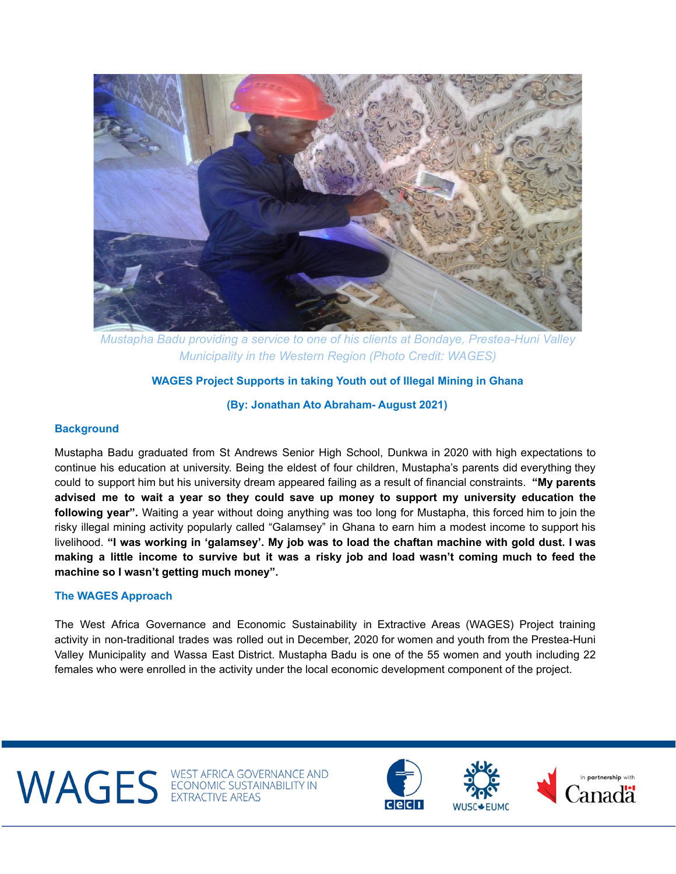

*Mustapha Badu providing a service to one of his clients at Bondaye, Prestea-Huni Valley Municipality in the Western Region (Photo Credit: WAGES)*

# **WAGES Project Supports in taking Youth out of Illegal Mining in Ghana**

**(By: Jonathan Ato Abraham- August 2021)**

## **Background**

Mustapha Badu graduated from St Andrews Senior High School, Dunkwa in 2020 with high expectations to continue his education at university. Being the eldest of four children, Mustapha's parents did everything they could to support him but his university dream appeared failing as a result of financial constraints. **"My parents advised me to wait a year so they could save up money to support my university education the following year".** Waiting a year without doing anything was too long for Mustapha, this forced him to join the risky illegal mining activity popularly called "Galamsey" in Ghana to earn him a modest income to support his livelihood. "I was working in 'galamsey'. My job was to load the chaftan machine with gold dust. I was making a little income to survive but it was a risky job and load wasn't coming much to feed the **machine so I wasn't getting much money".**

## **The WAGES Approach**

The West Africa Governance and Economic Sustainability in Extractive Areas (WAGES) Project training activity in non-traditional trades was rolled out in December, 2020 for women and youth from the Prestea-Huni Valley Municipality and Wassa East District. Mustapha Badu is one of the 55 women and youth including 22 females who were enrolled in the activity under the local economic development component of the project.

WAGES ECONOMIC SUSTAINABILITY IN





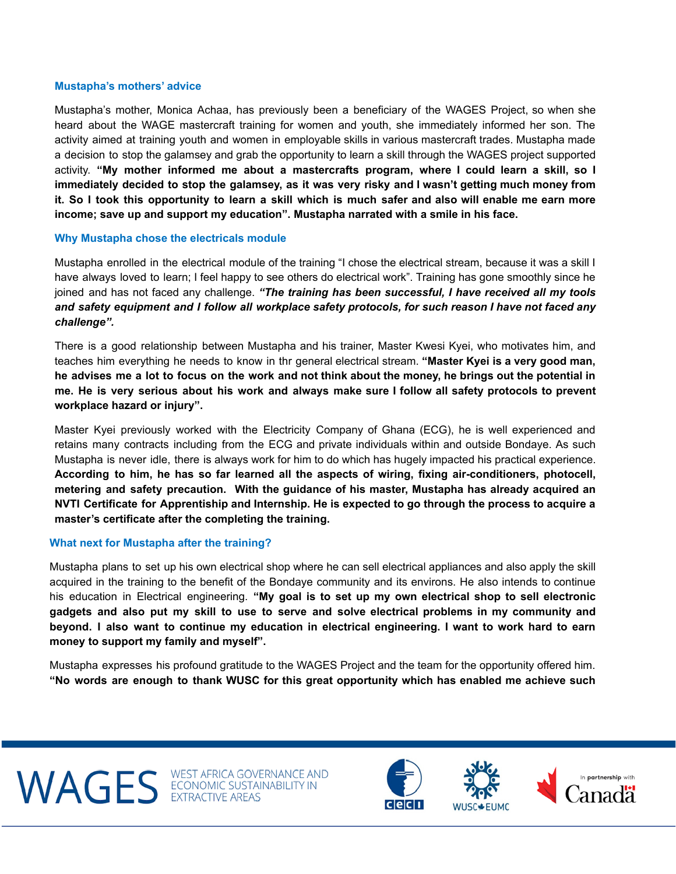#### **Mustapha's mothers' advice**

Mustapha's mother, Monica Achaa, has previously been a beneficiary of the WAGES Project, so when she heard about the WAGE mastercraft training for women and youth, she immediately informed her son. The activity aimed at training youth and women in employable skills in various mastercraft trades. Mustapha made a decision to stop the galamsey and grab the opportunity to learn a skill through the WAGES project supported activity. **"My mother informed me about a mastercrafts program, where I could learn a skill, so I** immediately decided to stop the galamsey, as it was very risky and I wasn't getting much money from it. So I took this opportunity to learn a skill which is much safer and also will enable me earn more **income; save up and support my education". Mustapha narrated with a smile in his face.**

## **Why Mustapha chose the electricals module**

Mustapha enrolled in the electrical module of the training "I chose the electrical stream, because it was a skill I have always loved to learn; I feel happy to see others do electrical work". Training has gone smoothly since he joined and has not faced any challenge. *"The training has been successful, I have received all my tools* and safety equipment and I follow all workplace safety protocols, for such reason I have not faced any *challenge".*

There is a good relationship between Mustapha and his trainer, Master Kwesi Kyei, who motivates him, and teaches him everything he needs to know in thr general electrical stream. **"Master Kyei is a very good man,** he advises me a lot to focus on the work and not think about the money, he brings out the potential in me. He is very serious about his work and always make sure I follow all safety protocols to prevent **workplace hazard or injury".**

Master Kyei previously worked with the Electricity Company of Ghana (ECG), he is well experienced and retains many contracts including from the ECG and private individuals within and outside Bondaye. As such Mustapha is never idle, there is always work for him to do which has hugely impacted his practical experience. **According to him, he has so far learned all the aspects of wiring, fixing air-conditioners, photocell, metering and safety precaution. With the guidance of his master, Mustapha has already acquired an NVTI Certificate for Apprentiship and Internship. He is expected to go through the process to acquire a master's certificate after the completing the training.**

## **What next for Mustapha after the training?**

Mustapha plans to set up his own electrical shop where he can sell electrical appliances and also apply the skill acquired in the training to the benefit of the Bondaye community and its environs. He also intends to continue his education in Electrical engineering. **"My goal is to set up my own electrical shop to sell electronic gadgets and also put my skill to use to serve and solve electrical problems in my community and** beyond. I also want to continue my education in electrical engineering. I want to work hard to earn **money to support my family and myself".**

Mustapha expresses his profound gratitude to the WAGES Project and the team for the opportunity offered him. **"No words are enough to thank WUSC for this great opportunity which has enabled me achieve such**

WAGES ECONOMIC SUSTAINABILITY IN